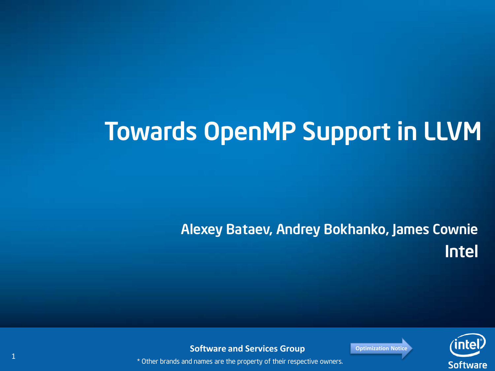# Towards OpenMP Support in LLVM

#### Alexey Bataev, Andrey Bokhanko, James Cownie Intel



**Software and Services Group Constants [Optimization Notice](#page-21-0)**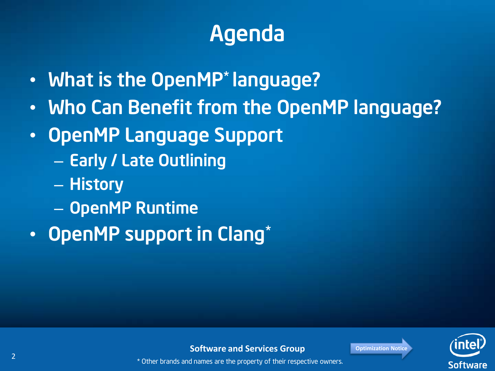## Agenda

- What is the OpenMP<sup>\*</sup> language?
- Who Can Benefit from the OpenMP language?
- OpenMP Language Support
	- Early / Late Outlining
	- History
	- OpenMP Runtime
- OpenMP support in Clang\*



**Software and Services Group Canadian Motice Continued Address**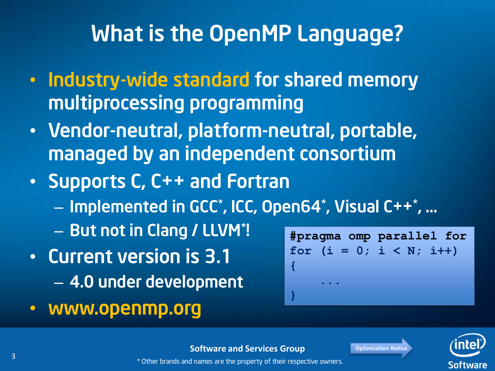#### What is the OpenMP Language?

- Industry-wide standard for shared memory multiprocessing programming
- Vendor-neutral, platform-neutral, portable, managed by an independent consortium
- Supports C, C++ and Fortran
	- Implemented in GCC\* , ICC, Open64\* , Visual C++\* , …
	- But not in Clang / LLVM\* !
- Current version is 3.1 – 4.0 under development
- www.openmp.org

**#pragma omp parallel for** for  $(i = 0; i < N; i++)$ **{ ... }**

**Software and Services Group Consumersity** [Optimization Notice](#page-21-0)

\* Other brands and names are the property of their respective owners.





3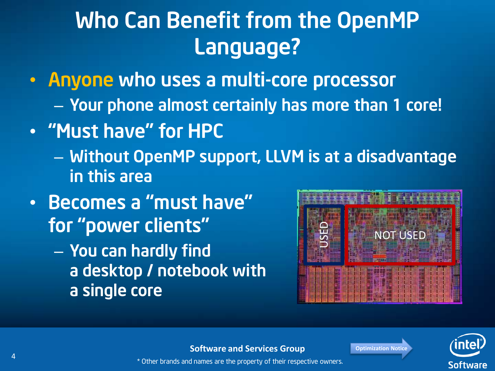## Who Can Benefit from the OpenMP Language?

- Anyone who uses a multi-core processor
	- Your phone almost certainly has more than 1 core!
- "Must have" for HPC
	- Without OpenMP support, LLVM is at a disadvantage in this area
- Becomes a "must have" for "power clients"
	- You can hardly find a desktop / notebook with a single core





**Software and Services Group Consumersity** [Optimization Notice](#page-21-0)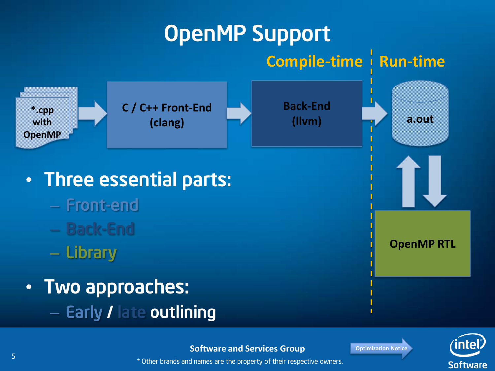#### OpenMP Support **C / C++ Front-End (clang) Back-End (llvm) \*.cpp with OpenMP OpenMP RTL a.out Compile-time Run-time** • Three essential parts: – Front-end – Back-End – Library • Two approaches: – Early / late outlining

#### **Software and Services Group CONSTRANGED AND SOFTWARE AND SOFTWARE AND SOFTWARE SOFTWARE SOFTWARE SOFTWARE SOFTWARE SOFTWARE SOFTWARE SOFTWARE SOFTWARE SOFTWARE SOFTWARE SOFTWARE SOFTWARE SOFTWARE SOFTWARE SOFTWARE SOFTW**



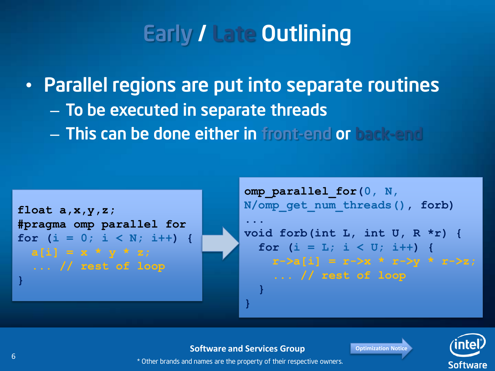## Early / Late Outlining

• Parallel regions are put into separate routines – To be executed in separate threads – This can be done either in front-end or back-end



**omp\_parallel\_for(0, N, N/omp\_get\_num\_threads(), forb) ... void forb(int L, int U, R \*r) {** for  $(i = L; i < U; i++)$  {  $r-\lambda a[i] = r-\lambda x * r-\lambda y * r-\lambda z;$  **... // rest of loop } }**

#### **Software and Services Group Canadian Motice Continued Address**



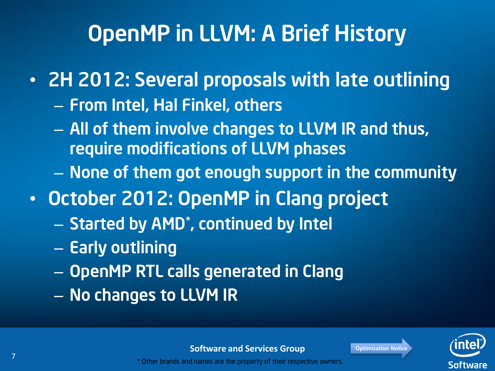## OpenMP in LLVM: A Brief History

• 2H 2012: Several proposals with late outlining

- From Intel, Hal Finkel, others
- All of them involve changes to LLVM IR and thus, require modifications of LLVM phases
- None of them got enough support in the community
- October 2012: OpenMP in Clang project
	- Started by AMD\* , continued by Intel
	- Early outlining
	- OpenMP RTL calls generated in Clang
	- No changes to LLVM IR



Software

**Software and Services Group CONFIDENTIAL CONTENT** [Optimization Notice](#page-21-0)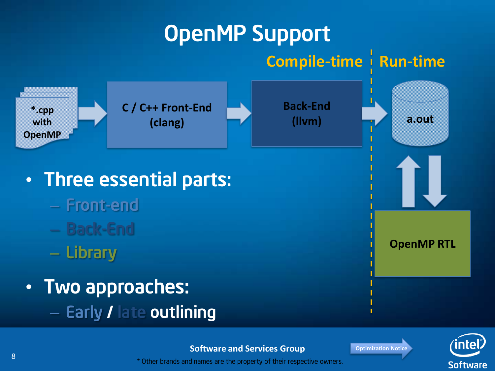#### OpenMP Support **C / C++ Front-End (clang) Back-End (llvm) \*.cpp with OpenMP OpenMP RTL a.out Compile-time Run-time** • Three essential parts: – Front-end – Back-End – Library • Two approaches: – Early / late outlining

#### **Software and Services Group [Optimization Notice](#page-21-0)**



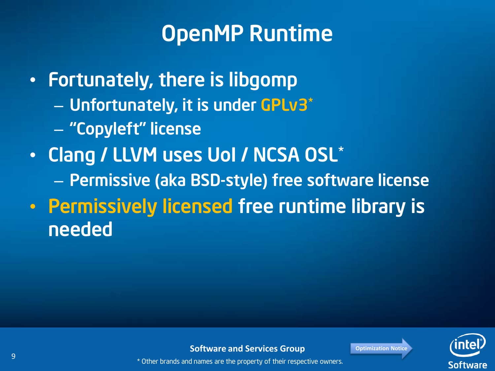### OpenMP Runtime

• Fortunately, there is libgomp – Unfortunately, it is under GPLv3\* – "Copyleft" license • Clang / LLVM uses UoI / NCSA OSL\* – Permissive (aka BSD-style) free software license • Permissively licensed free runtime library is

**Software** 

**Software and Services Group Construction Notice** 

\* Other brands and names are the property of their respective owners.

needed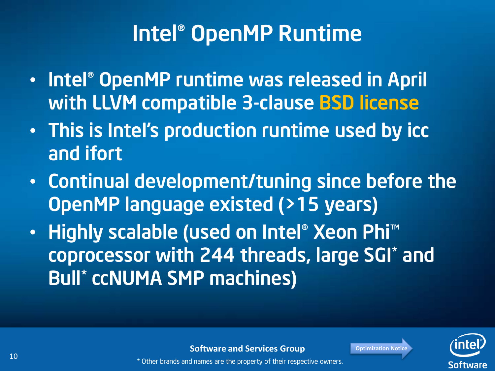### Intel® OpenMP Runtime

- Intel® OpenMP runtime was released in April with LLVM compatible 3-clause BSD license
- This is Intel's production runtime used by icc and ifort
- Continual development/tuning since before the OpenMP language existed (>15 years)
- Highly scalable (used on Intel® Xeon Phi™ coprocessor with 244 threads, large SGI\* and Bull\* ccNUMA SMP machines)



**Software and Services Group Consumersity** [Optimization Notice](#page-21-0)

10 **10 EXECUTE:** The state of the property of their respective owners.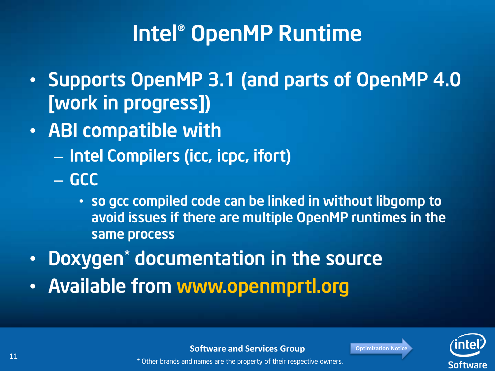### Intel® OpenMP Runtime

- Supports OpenMP 3.1 (and parts of OpenMP 4.0 [work in progress])
- ABI compatible with
	- Intel Compilers (icc, icpc, ifort)
	- GCC
		- so gcc compiled code can be linked in without libgomp to avoid issues if there are multiple OpenMP runtimes in the same process
- Doxygen\* documentation in the source
- Available from www.openmprtl.org



**Software and Services Group Consumersity** [Optimization Notice](#page-21-0)

11 **1 1 EXECUTE:** THE STATE STATE  $\alpha$  of the property of their respective owners.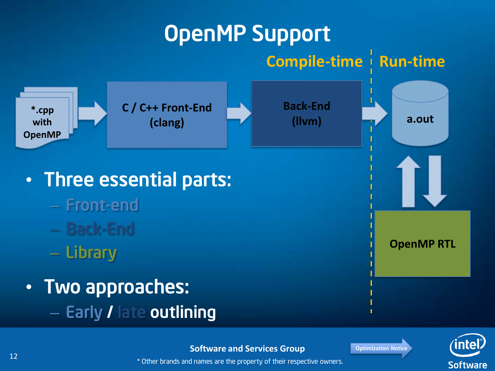#### OpenMP Support **C / C++ Front-End (clang) Back-End (llvm) \*.cpp with OpenMP OpenMP RTL a.out Compile-time Run-time** • Three essential parts: – Front-end – Back-End – Library • Two approaches: – Early / late outlining

#### **Software and Services Group [Optimization Notice](#page-21-0)**



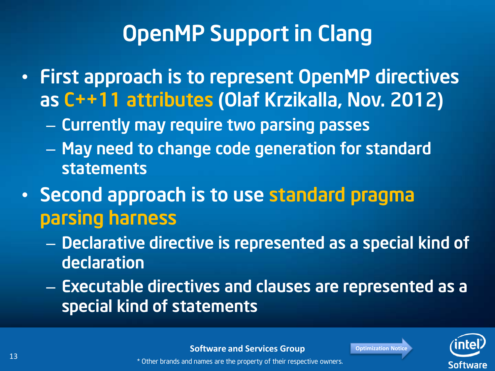## OpenMP Support in Clang

- First approach is to represent OpenMP directives as C++11 attributes (Olaf Krzikalla, Nov. 2012)
	- Currently may require two parsing passes
	- May need to change code generation for standard statements
- Second approach is to use standard pragma parsing harness
	- Declarative directive is represented as a special kind of declaration
	- Executable directives and clauses are represented as a special kind of statements

**Software** 

**Software and Services Group Consumersity** [Optimization Notice](#page-21-0)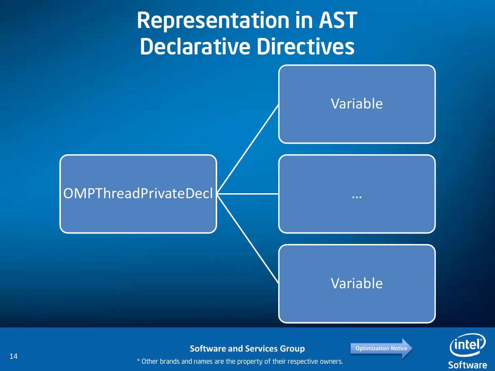### Representation in AST Declarative Directives



**Software and Services Group CONFIDENTIAL POSTMER SOFTWARE AND ADDETERM** 

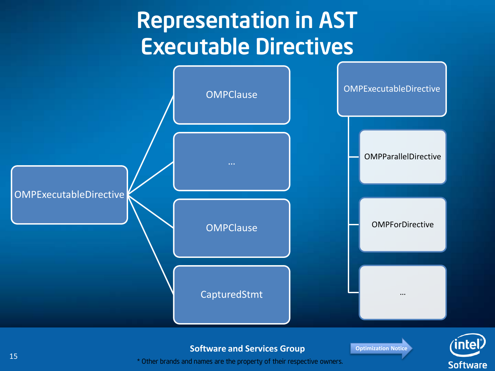### Representation in AST Executable Directives







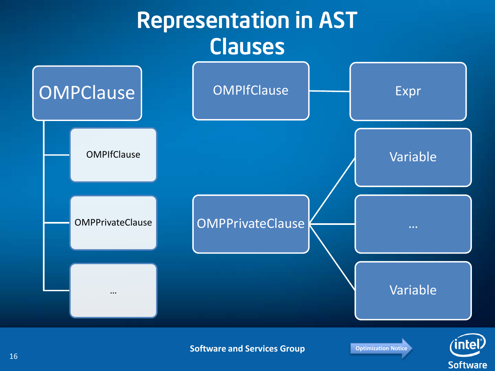### Representation in AST Clauses



**Software and Services Group Canadian Poptimization Notice** 

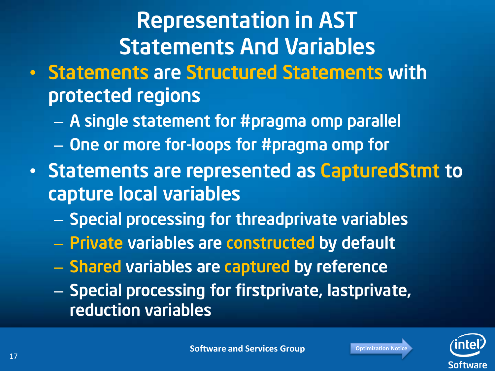# Representation in AST Statements And Variables

- Statements are Structured Statements with protected regions
	- A single statement for #pragma omp parallel
	- One or more for-loops for #pragma omp for
- Statements are represented as CapturedStmt to capture local variables
	- Special processing for threadprivate variables
	- Private variables are constructed by default
	- Shared variables are captured by reference
	- Special processing for firstprivate, lastprivate, reduction variables

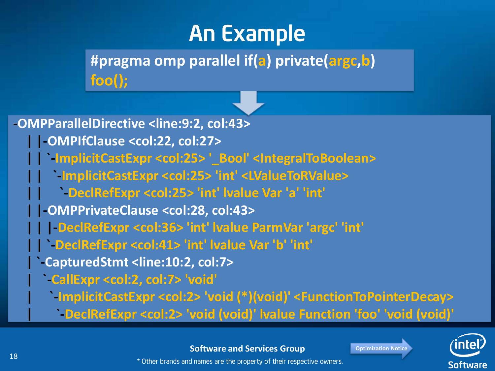#### An Example

**#pragma omp parallel if(a) private(argc,b) foo();**

**-OMPParallelDirective <line:9:2, col:43> | |-OMPIfClause <col:22, col:27> | | `-ImplicitCastExpr <col:25> '\_Bool' <IntegralToBoolean> | | `-ImplicitCastExpr <col:25> 'int' <LValueToRValue> | | `-DeclRefExpr <col:25> 'int' lvalue Var 'a' 'int' | |-OMPPrivateClause <col:28, col:43> | | |-DeclRefExpr <col:36> 'int' lvalue ParmVar 'argc' 'int' | | `-DeclRefExpr <col:41> 'int' lvalue Var 'b' 'int' | `-CapturedStmt <line:10:2, col:7> | `-CallExpr <col:2, col:7> 'void' | `-ImplicitCastExpr <col:2> 'void (\*)(void)' <FunctionToPointerDecay>**

 **| `-DeclRefExpr <col:2> 'void (void)' lvalue Function 'foo' 'void (void)'**



**Software and Services Group Canadian Motice** [Optimization Notice](#page-21-0)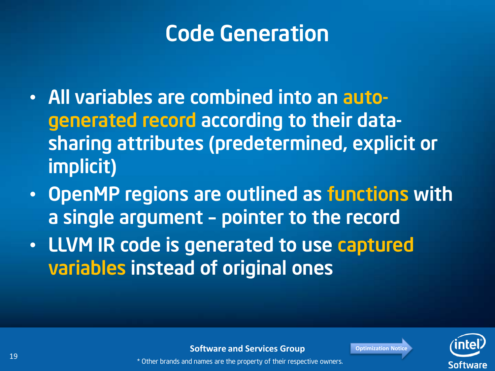### Code Generation

- All variables are combined into an autogenerated record according to their datasharing attributes (predetermined, explicit or implicit)
- OpenMP regions are outlined as functions with a single argument – pointer to the record
- LLVM IR code is generated to use captured variables instead of original ones



**Software and Services Group Consumersity** [Optimization Notice](#page-21-0) 19 **19** \* Other brands and names are the property of their respective owners.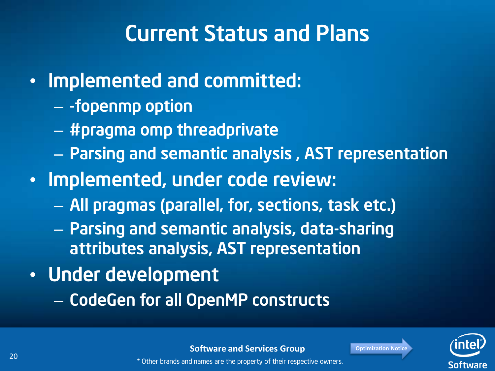### Current Status and Plans

#### • Implemented and committed:

- -fopenmp option
- #pragma omp threadprivate
- Parsing and semantic analysis , AST representation
- Implemented, under code review:
	- All pragmas (parallel, for, sections, task etc.)
	- Parsing and semantic analysis, data-sharing attributes analysis, AST representation

#### • Under development

– CodeGen for all OpenMP constructs



**Software and Services Group Canadian Motice** [Optimization Notice](#page-21-0) **20 EXECUTE 20** \* Other brands and names are the property of their respective owners.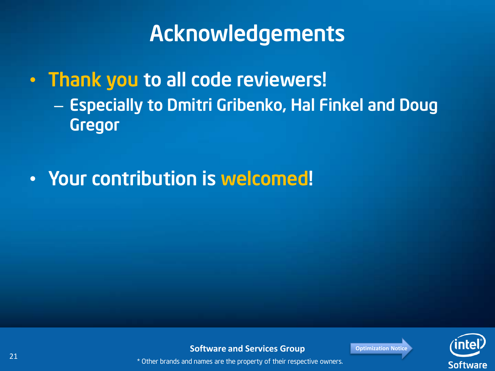### Acknowledgements

• Thank you to all code reviewers! – Especially to Dmitri Gribenko, Hal Finkel and Doug Gregor

#### • Your contribution is welcomed!



**Software and Services Group Construction Notice** 21 and the property of their respective owners.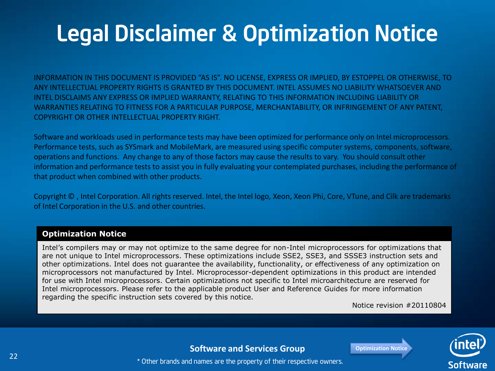# Legal Disclaimer & Optimization Notice

INFORMATION IN THIS DOCUMENT IS PROVIDED "AS IS". NO LICENSE, EXPRESS OR IMPLIED, BY ESTOPPEL OR OTHERWISE, TO ANY INTELLECTUAL PROPERTY RIGHTS IS GRANTED BY THIS DOCUMENT. INTEL ASSUMES NO LIABILITY WHATSOEVER AND INTEL DISCLAIMS ANY EXPRESS OR IMPLIED WARRANTY, RELATING TO THIS INFORMATION INCLUDING LIABILITY OR WARRANTIES RELATING TO FITNESS FOR A PARTICULAR PURPOSE, MERCHANTABILITY, OR INFRINGEMENT OF ANY PATENT, COPYRIGHT OR OTHER INTELLECTUAL PROPERTY RIGHT.

Software and workloads used in performance tests may have been optimized for performance only on Intel microprocessors. Performance tests, such as SYSmark and MobileMark, are measured using specific computer systems, components, software, operations and functions. Any change to any of those factors may cause the results to vary. You should consult other information and performance tests to assist you in fully evaluating your contemplated purchases, including the performance of that product when combined with other products.

Copyright © , Intel Corporation. All rights reserved. Intel, the Intel logo, Xeon, Xeon Phi, Core, VTune, and Cilk are trademarks of Intel Corporation in the U.S. and other countries.

#### **Optimization Notice**

<span id="page-21-0"></span>Intel's compilers may or may not optimize to the same degree for non-Intel microprocessors for optimizations that are not unique to Intel microprocessors. These optimizations include SSE2, SSE3, and SSSE3 instruction sets and other optimizations. Intel does not guarantee the availability, functionality, or effectiveness of any optimization on microprocessors not manufactured by Intel. Microprocessor-dependent optimizations in this product are intended for use with Intel microprocessors. Certain optimizations not specific to Intel microarchitecture are reserved for Intel microprocessors. Please refer to the applicable product User and Reference Guides for more information regarding the specific instruction sets covered by this notice.

Notice revision #20110804



#### **Software and Services Group Construction Notice**